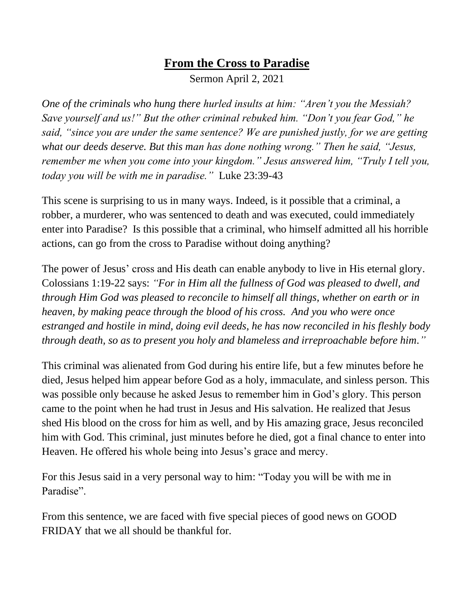## **From the Cross to Paradise**

Sermon April 2, 2021

*One of the criminals who hung there hurled insults at him: "Aren't you the Messiah? Save yourself and us!" But the other criminal rebuked him. "Don't you fear God," he said, "since you are under the same sentence? We are punished justly, for we are getting what our deeds deserve. But this man has done nothing wrong." Then he said, "Jesus, remember me when you come into your kingdom." Jesus answered him, "Truly I tell you, today you will be with me in paradise."* Luke 23:39-43

This scene is surprising to us in many ways. Indeed, is it possible that a criminal, a robber, a murderer, who was sentenced to death and was executed, could immediately enter into Paradise? Is this possible that a criminal, who himself admitted all his horrible actions, can go from the cross to Paradise without doing anything?

The power of Jesus' cross and His death can enable anybody to live in His eternal glory. Colossians 1:19-22 says: *"For in Him all the fullness of God was pleased to dwell, and through Him God was pleased to reconcile to himself all things, whether on earth or in heaven, by making peace through the blood of his cross. And you who were once estranged and hostile in mind, doing evil deeds, he has now reconciled in his fleshly body through death, so as to present you holy and blameless and irreproachable before him."* 

This criminal was alienated from God during his entire life, but a few minutes before he died, Jesus helped him appear before God as a holy, immaculate, and sinless person. This was possible only because he asked Jesus to remember him in God's glory. This person came to the point when he had trust in Jesus and His salvation. He realized that Jesus shed His blood on the cross for him as well, and by His amazing grace, Jesus reconciled him with God. This criminal, just minutes before he died, got a final chance to enter into Heaven. He offered his whole being into Jesus's grace and mercy.

For this Jesus said in a very personal way to him: "Today you will be with me in Paradise".

From this sentence, we are faced with five special pieces of good news on GOOD FRIDAY that we all should be thankful for.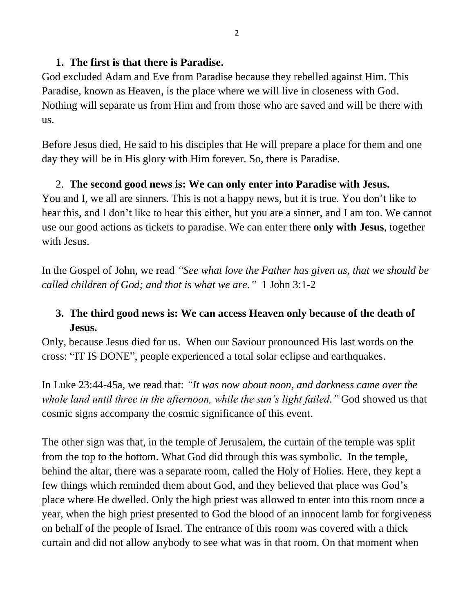#### **1. The first is that there is Paradise.**

God excluded Adam and Eve from Paradise because they rebelled against Him. This Paradise, known as Heaven, is the place where we will live in closeness with God. Nothing will separate us from Him and from those who are saved and will be there with us.

Before Jesus died, He said to his disciples that He will prepare a place for them and one day they will be in His glory with Him forever. So, there is Paradise.

#### 2. **The second good news is: We can only enter into Paradise with Jesus.**

You and I, we all are sinners. This is not a happy news, but it is true. You don't like to hear this, and I don't like to hear this either, but you are a sinner, and I am too. We cannot use our good actions as tickets to paradise. We can enter there **only with Jesus**, together with Jesus.

In the Gospel of John, we read *"See what love the Father has given us, that we should be called children of God; and that is what we are."* 1 John 3:1-2

## **3. The third good news is: We can access Heaven only because of the death of Jesus.**

Only, because Jesus died for us. When our Saviour pronounced His last words on the cross: "IT IS DONE", people experienced a total solar eclipse and earthquakes.

In Luke 23:44-45a, we read that: *"It was now about noon, and darkness came over the whole land until three in the afternoon, while the sun's light failed."* God showed us that cosmic signs accompany the cosmic significance of this event.

The other sign was that, in the temple of Jerusalem, the curtain of the temple was split from the top to the bottom. What God did through this was symbolic. In the temple, behind the altar, there was a separate room, called the Holy of Holies. Here, they kept a few things which reminded them about God, and they believed that place was God's place where He dwelled. Only the high priest was allowed to enter into this room once a year, when the high priest presented to God the blood of an innocent lamb for forgiveness on behalf of the people of Israel. The entrance of this room was covered with a thick curtain and did not allow anybody to see what was in that room. On that moment when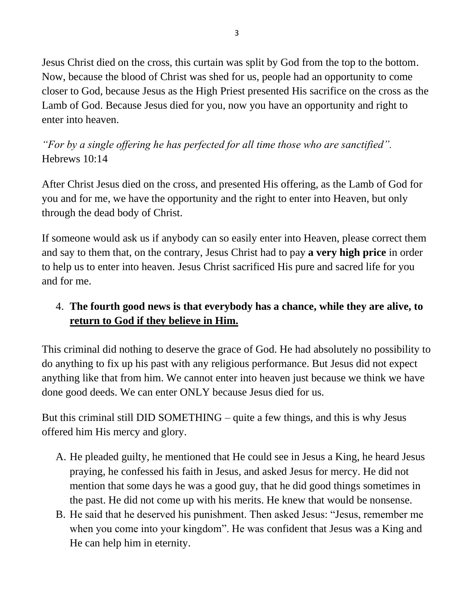Jesus Christ died on the cross, this curtain was split by God from the top to the bottom. Now, because the blood of Christ was shed for us, people had an opportunity to come closer to God, because Jesus as the High Priest presented His sacrifice on the cross as the Lamb of God. Because Jesus died for you, now you have an opportunity and right to enter into heaven.

*"For by a single offering he has perfected for all time those who are sanctified".*  Hebrews 10:14

After Christ Jesus died on the cross, and presented His offering, as the Lamb of God for you and for me, we have the opportunity and the right to enter into Heaven, but only through the dead body of Christ.

If someone would ask us if anybody can so easily enter into Heaven, please correct them and say to them that, on the contrary, Jesus Christ had to pay **a very high price** in order to help us to enter into heaven. Jesus Christ sacrificed His pure and sacred life for you and for me.

### 4. **The fourth good news is that everybody has a chance, while they are alive, to return to God if they believe in Him.**

This criminal did nothing to deserve the grace of God. He had absolutely no possibility to do anything to fix up his past with any religious performance. But Jesus did not expect anything like that from him. We cannot enter into heaven just because we think we have done good deeds. We can enter ONLY because Jesus died for us.

But this criminal still DID SOMETHING – quite a few things, and this is why Jesus offered him His mercy and glory.

- A. He pleaded guilty, he mentioned that He could see in Jesus a King, he heard Jesus praying, he confessed his faith in Jesus, and asked Jesus for mercy. He did not mention that some days he was a good guy, that he did good things sometimes in the past. He did not come up with his merits. He knew that would be nonsense.
- B. He said that he deserved his punishment. Then asked Jesus: "Jesus, remember me when you come into your kingdom". He was confident that Jesus was a King and He can help him in eternity.